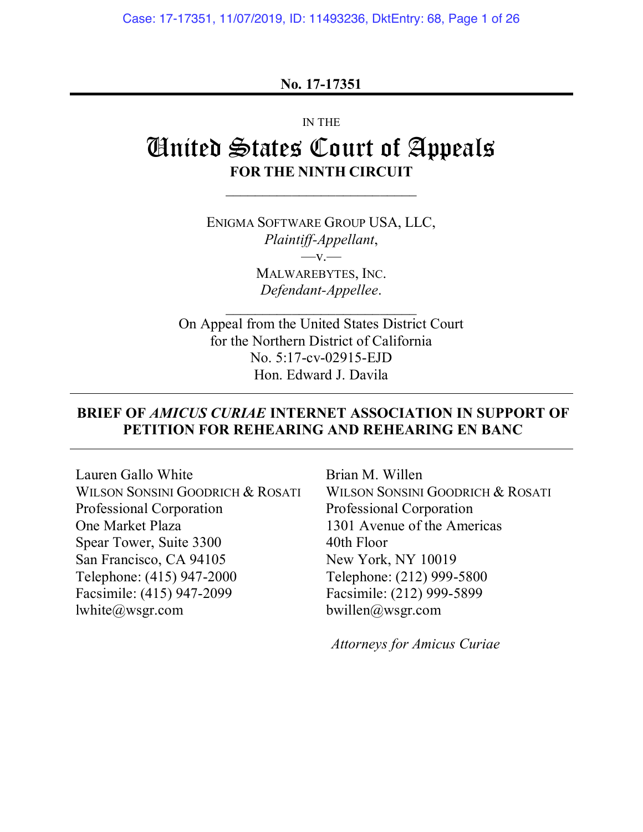Case: 17-17351, 11/07/2019, ID: 11493236, DktEntry: 68, Page 1 of 26

#### **No. 17-17351**

#### IN THE

# United States Court of Appeals **FOR THE NINTH CIRCUIT**

ENIGMA SOFTWARE GROUP USA, LLC, *Plaintiff-Appellant*,  $-v -$ MALWAREBYTES, INC. *Defendant-Appellee*.

On Appeal from the United States District Court for the Northern District of California No. 5:17-cv-02915-EJD Hon. Edward J. Davila

### **BRIEF OF** *AMICUS CURIAE* **INTERNET ASSOCIATION IN SUPPORT OF PETITION FOR REHEARING AND REHEARING EN BANC**

Lauren Gallo White Brian M. Willen WILSON SONSINI GOODRICH & ROSATI WILSON SONSINI GOODRICH & ROSATI Professional Corporation Professional Corporation One Market Plaza 1301 Avenue of the Americas Spear Tower, Suite 3300 40th Floor San Francisco, CA 94105 New York, NY 10019 Telephone: (415) 947-2000 Telephone: (212) 999-5800 Facsimile: (415) 947-2099 Facsimile: (212) 999-5899 lwhite@wsgr.com bwillen@wsgr.com

*Attorneys for Amicus Curiae*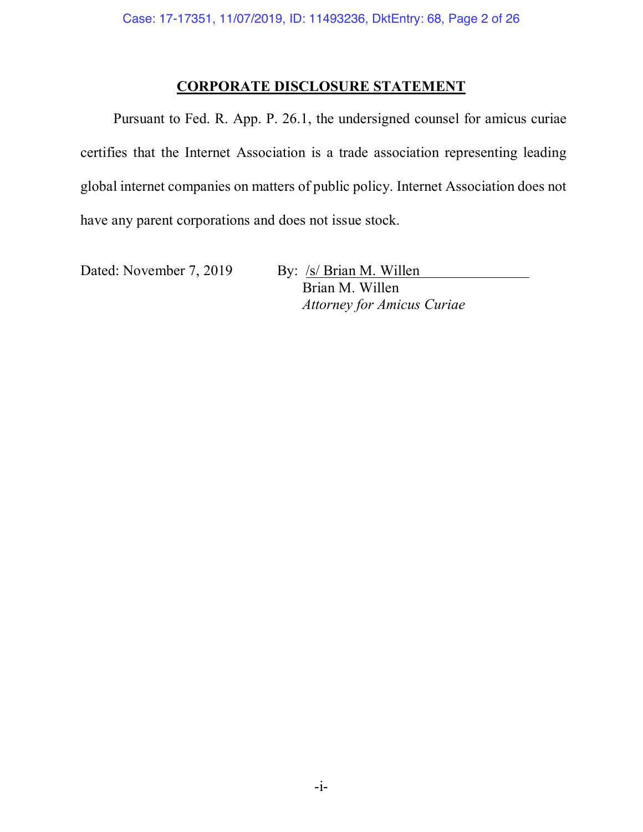### **CORPORATE DISCLOSURE STATEMENT**

Pursuant to Fed. R. App. P. 26.1, the undersigned counsel for amicus curiae certifies that the Internet Association is a trade association representing leading global internet companies on matters of public policy. Internet Association does not have any parent corporations and does not issue stock.

Dated: November 7, 2019 By: /s/ Brian M. Willen

Brian M. Willen *Attorney for Amicus Curiae*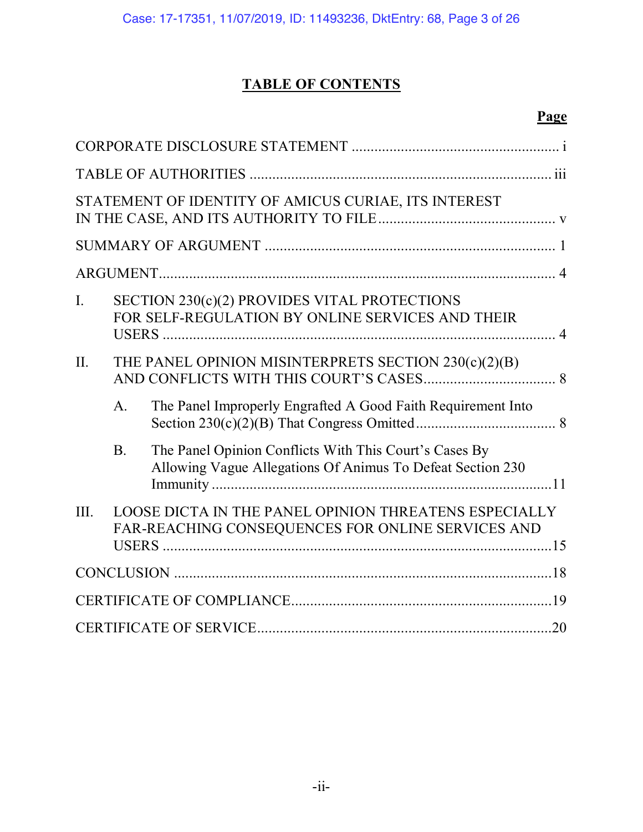## **TABLE OF CONTENTS**

## **Page**

|                |                | STATEMENT OF IDENTITY OF AMICUS CURIAE, ITS INTEREST                                                                 |     |
|----------------|----------------|----------------------------------------------------------------------------------------------------------------------|-----|
|                |                |                                                                                                                      |     |
|                |                |                                                                                                                      |     |
| $\mathbf{I}$ . |                | SECTION 230(c)(2) PROVIDES VITAL PROTECTIONS<br>FOR SELF-REGULATION BY ONLINE SERVICES AND THEIR                     |     |
| II.            |                | THE PANEL OPINION MISINTERPRETS SECTION 230(c)(2)(B)                                                                 |     |
|                | $\mathbf{A}$ . | The Panel Improperly Engrafted A Good Faith Requirement Into                                                         |     |
|                | B <sub>1</sub> | The Panel Opinion Conflicts With This Court's Cases By<br>Allowing Vague Allegations Of Animus To Defeat Section 230 |     |
| III.           |                | LOOSE DICTA IN THE PANEL OPINION THREATENS ESPECIALLY<br>FAR-REACHING CONSEQUENCES FOR ONLINE SERVICES AND           |     |
|                |                |                                                                                                                      |     |
|                |                |                                                                                                                      |     |
|                |                |                                                                                                                      | .20 |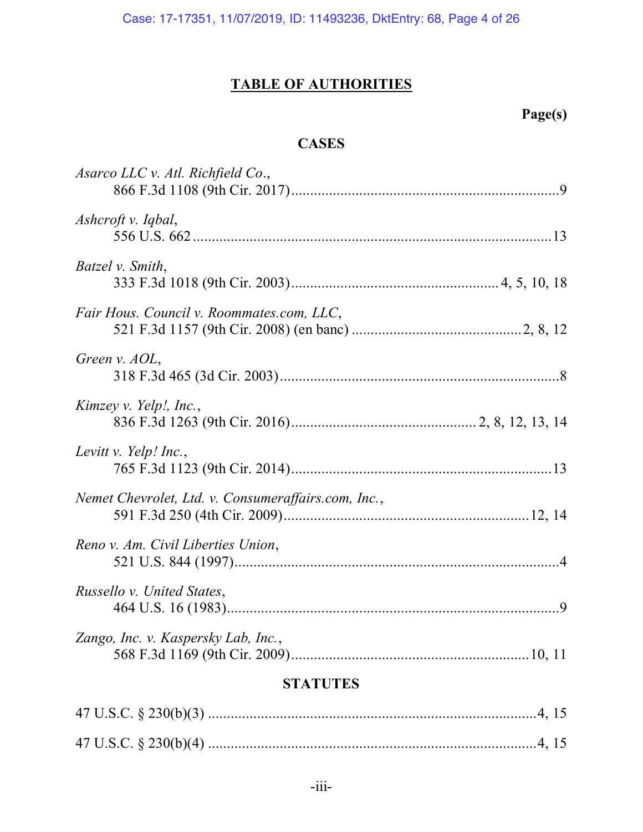## **TABLE OF AUTHORITIES**

## **Page(s)**

## **CASES**

| <b>STATUTES</b>                                     |  |  |  |  |
|-----------------------------------------------------|--|--|--|--|
| Zango, Inc. v. Kaspersky Lab, Inc.,                 |  |  |  |  |
| Russello v. United States,                          |  |  |  |  |
| Reno v. Am. Civil Liberties Union,                  |  |  |  |  |
| Nemet Chevrolet, Ltd. v. Consumeraffairs.com, Inc., |  |  |  |  |
| Levitt v. Yelp! Inc.,                               |  |  |  |  |
| Kimzey v. Yelp!, Inc.,                              |  |  |  |  |
| Green v. AOL,                                       |  |  |  |  |
| Fair Hous. Council v. Roommates.com, LLC,           |  |  |  |  |
| Batzel v. Smith,                                    |  |  |  |  |
| Ashcroft v. Iqbal,                                  |  |  |  |  |
| Asarco LLC v. Atl. Richfield Co.,                   |  |  |  |  |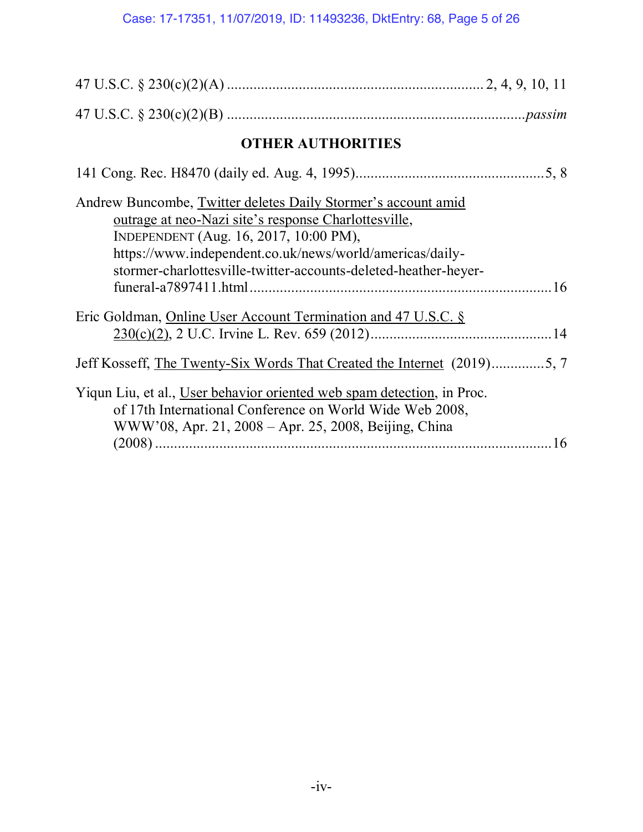| <b>OTHER AUTHORITIES</b>                                                                                                                                                                                                                                                                       |  |  |  |  |  |
|------------------------------------------------------------------------------------------------------------------------------------------------------------------------------------------------------------------------------------------------------------------------------------------------|--|--|--|--|--|
|                                                                                                                                                                                                                                                                                                |  |  |  |  |  |
| Andrew Buncombe, Twitter deletes Daily Stormer's account amid<br>outrage at neo-Nazi site's response Charlottesville,<br>INDEPENDENT (Aug. 16, 2017, 10:00 PM),<br>https://www.independent.co.uk/news/world/americas/daily-<br>stormer-charlottesville-twitter-accounts-deleted-heather-heyer- |  |  |  |  |  |
| Eric Goldman, Online User Account Termination and 47 U.S.C. §                                                                                                                                                                                                                                  |  |  |  |  |  |
| Jeff Kosseff, The Twenty-Six Words That Created the Internet (2019)5, 7                                                                                                                                                                                                                        |  |  |  |  |  |
| Yiqun Liu, et al., User behavior oriented web spam detection, in Proc.<br>of 17th International Conference on World Wide Web 2008,<br>WWW'08, Apr. 21, 2008 - Apr. 25, 2008, Beijing, China                                                                                                    |  |  |  |  |  |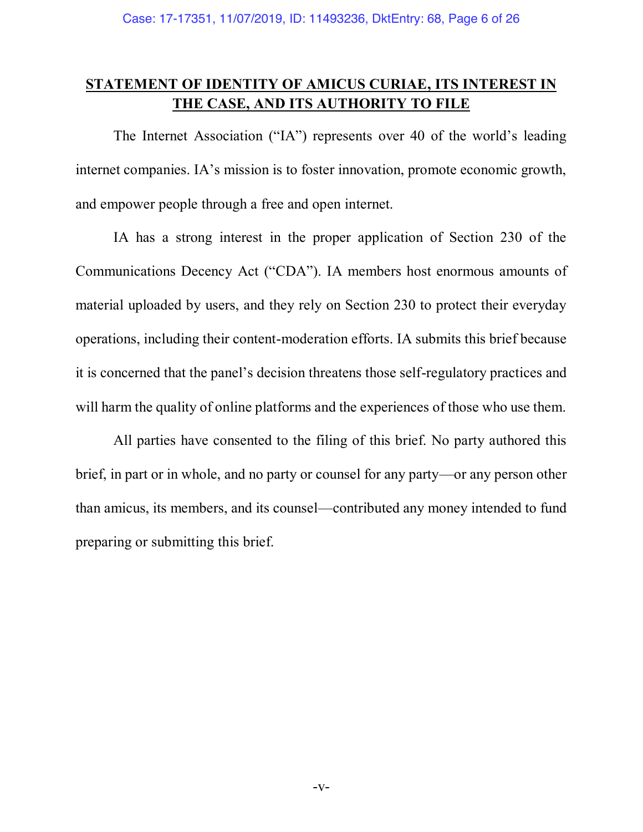## **STATEMENT OF IDENTITY OF AMICUS CURIAE, ITS INTEREST IN THE CASE, AND ITS AUTHORITY TO FILE**

The Internet Association ("IA") represents over 40 of the world's leading internet companies. IA's mission is to foster innovation, promote economic growth, and empower people through a free and open internet.

IA has a strong interest in the proper application of Section 230 of the Communications Decency Act ("CDA"). IA members host enormous amounts of material uploaded by users, and they rely on Section 230 to protect their everyday operations, including their content-moderation efforts. IA submits this brief because it is concerned that the panel's decision threatens those self-regulatory practices and will harm the quality of online platforms and the experiences of those who use them.

All parties have consented to the filing of this brief. No party authored this brief, in part or in whole, and no party or counsel for any party—or any person other than amicus, its members, and its counsel—contributed any money intended to fund preparing or submitting this brief.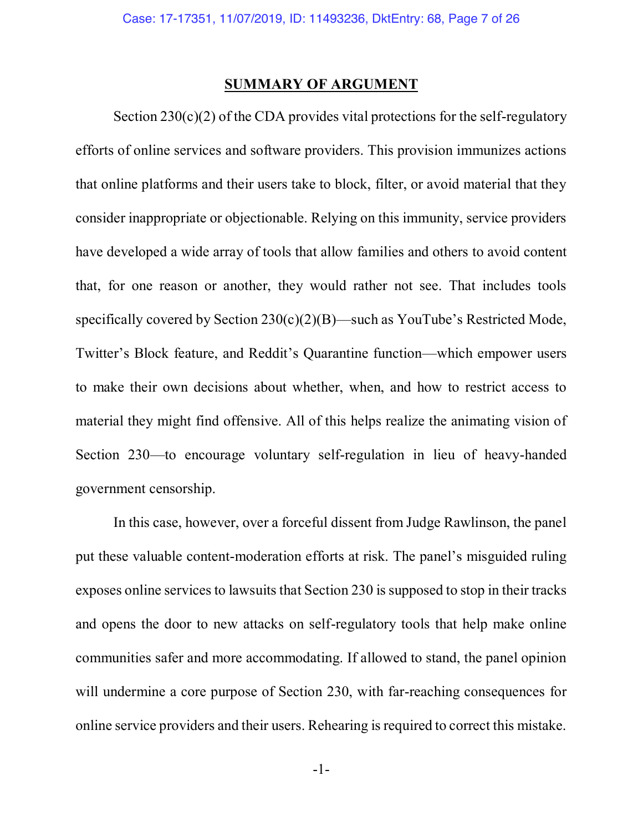#### **SUMMARY OF ARGUMENT**

Section  $230(c)(2)$  of the CDA provides vital protections for the self-regulatory efforts of online services and software providers. This provision immunizes actions that online platforms and their users take to block, filter, or avoid material that they consider inappropriate or objectionable. Relying on this immunity, service providers have developed a wide array of tools that allow families and others to avoid content that, for one reason or another, they would rather not see. That includes tools specifically covered by Section  $230(c)(2)(B)$ —such as YouTube's Restricted Mode, Twitter's Block feature, and Reddit's Quarantine function—which empower users to make their own decisions about whether, when, and how to restrict access to material they might find offensive. All of this helps realize the animating vision of Section 230—to encourage voluntary self-regulation in lieu of heavy-handed government censorship.

In this case, however, over a forceful dissent from Judge Rawlinson, the panel put these valuable content-moderation efforts at risk. The panel's misguided ruling exposes online services to lawsuits that Section 230 is supposed to stop in their tracks and opens the door to new attacks on self-regulatory tools that help make online communities safer and more accommodating. If allowed to stand, the panel opinion will undermine a core purpose of Section 230, with far-reaching consequences for online service providers and their users. Rehearing is required to correct this mistake.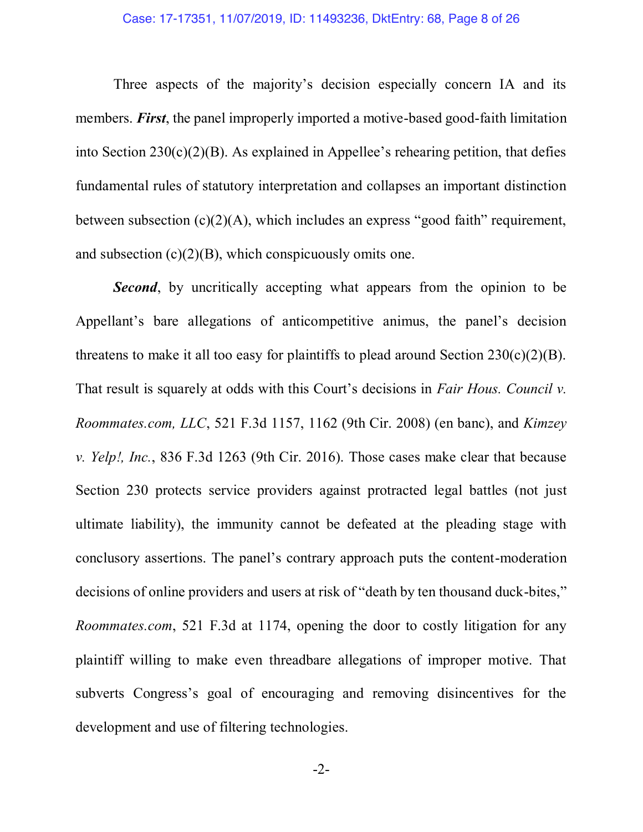Three aspects of the majority's decision especially concern IA and its members. *First*, the panel improperly imported a motive-based good-faith limitation into Section 230(c)(2)(B). As explained in Appellee's rehearing petition, that defies fundamental rules of statutory interpretation and collapses an important distinction between subsection (c)(2)(A), which includes an express "good faith" requirement, and subsection  $(c)(2)(B)$ , which conspicuously omits one.

*Second*, by uncritically accepting what appears from the opinion to be Appellant's bare allegations of anticompetitive animus, the panel's decision threatens to make it all too easy for plaintiffs to plead around Section  $230(c)(2)(B)$ . That result is squarely at odds with this Court's decisions in *Fair Hous. Council v. Roommates.com, LLC*, 521 F.3d 1157, 1162 (9th Cir. 2008) (en banc), and *Kimzey v. Yelp!, Inc.*, 836 F.3d 1263 (9th Cir. 2016). Those cases make clear that because Section 230 protects service providers against protracted legal battles (not just ultimate liability), the immunity cannot be defeated at the pleading stage with conclusory assertions. The panel's contrary approach puts the content-moderation decisions of online providers and users at risk of "death by ten thousand duck-bites," *Roommates.com*, 521 F.3d at 1174, opening the door to costly litigation for any plaintiff willing to make even threadbare allegations of improper motive. That subverts Congress's goal of encouraging and removing disincentives for the development and use of filtering technologies.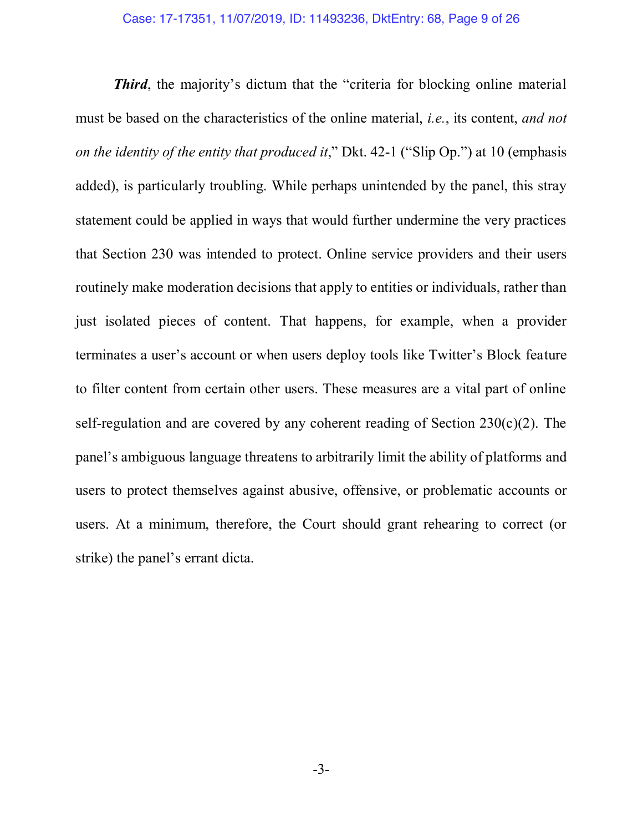**Third**, the majority's dictum that the "criteria for blocking online material must be based on the characteristics of the online material, *i.e.*, its content, *and not on the identity of the entity that produced it*," Dkt. 42-1 ("Slip Op.") at 10 (emphasis added), is particularly troubling. While perhaps unintended by the panel, this stray statement could be applied in ways that would further undermine the very practices that Section 230 was intended to protect. Online service providers and their users routinely make moderation decisions that apply to entities or individuals, rather than just isolated pieces of content. That happens, for example, when a provider terminates a user's account or when users deploy tools like Twitter's Block feature to filter content from certain other users. These measures are a vital part of online self-regulation and are covered by any coherent reading of Section  $230(c)(2)$ . The panel's ambiguous language threatens to arbitrarily limit the ability of platforms and users to protect themselves against abusive, offensive, or problematic accounts or users. At a minimum, therefore, the Court should grant rehearing to correct (or strike) the panel's errant dicta.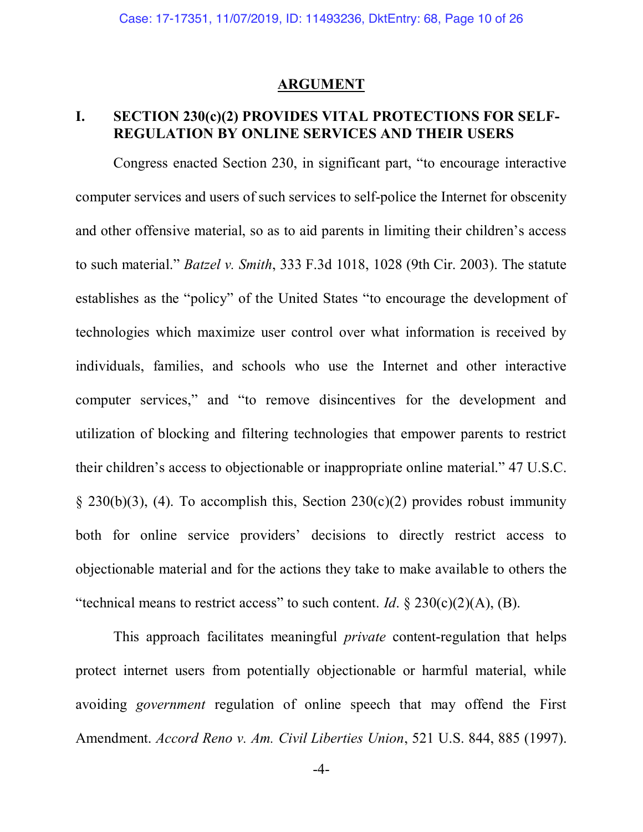#### **ARGUMENT**

### **I. SECTION 230(c)(2) PROVIDES VITAL PROTECTIONS FOR SELF-REGULATION BY ONLINE SERVICES AND THEIR USERS**

Congress enacted Section 230, in significant part, "to encourage interactive computer services and users of such services to self-police the Internet for obscenity and other offensive material, so as to aid parents in limiting their children's access to such material." *Batzel v. Smith*, 333 F.3d 1018, 1028 (9th Cir. 2003). The statute establishes as the "policy" of the United States "to encourage the development of technologies which maximize user control over what information is received by individuals, families, and schools who use the Internet and other interactive computer services," and "to remove disincentives for the development and utilization of blocking and filtering technologies that empower parents to restrict their children's access to objectionable or inappropriate online material." 47 U.S.C. § 230(b)(3), (4). To accomplish this, Section 230(c)(2) provides robust immunity both for online service providers' decisions to directly restrict access to objectionable material and for the actions they take to make available to others the "technical means to restrict access" to such content. *Id.*  $\frac{230(c)(2)(A)}{B}$ .

This approach facilitates meaningful *private* content-regulation that helps protect internet users from potentially objectionable or harmful material, while avoiding *government* regulation of online speech that may offend the First Amendment. *Accord Reno v. Am. Civil Liberties Union*, 521 U.S. 844, 885 (1997).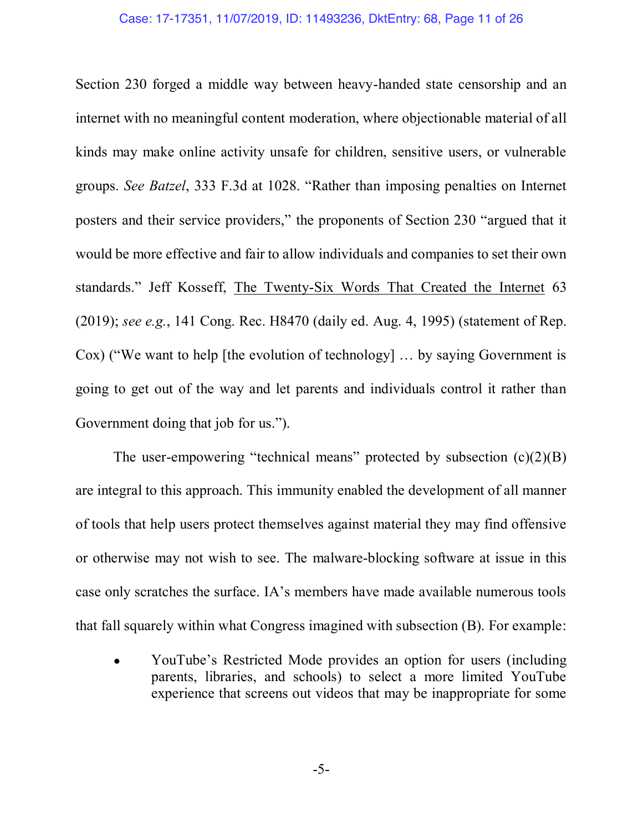#### Case: 17-17351, 11/07/2019, ID: 11493236, DktEntry: 68, Page 11 of 26

Section 230 forged a middle way between heavy-handed state censorship and an internet with no meaningful content moderation, where objectionable material of all kinds may make online activity unsafe for children, sensitive users, or vulnerable groups. *See Batzel*, 333 F.3d at 1028. "Rather than imposing penalties on Internet posters and their service providers," the proponents of Section 230 "argued that it would be more effective and fair to allow individuals and companies to set their own standards." Jeff Kosseff, The Twenty-Six Words That Created the Internet 63 (2019); *see e.g.*, 141 Cong. Rec. H8470 (daily ed. Aug. 4, 1995) (statement of Rep. Cox) ("We want to help [the evolution of technology] … by saying Government is going to get out of the way and let parents and individuals control it rather than Government doing that job for us.").

The user-empowering "technical means" protected by subsection  $(c)(2)(B)$ are integral to this approach. This immunity enabled the development of all manner of tools that help users protect themselves against material they may find offensive or otherwise may not wish to see. The malware-blocking software at issue in this case only scratches the surface. IA's members have made available numerous tools that fall squarely within what Congress imagined with subsection (B). For example:

• YouTube's Restricted Mode provides an option for users (including parents, libraries, and schools) to select a more limited YouTube experience that screens out videos that may be inappropriate for some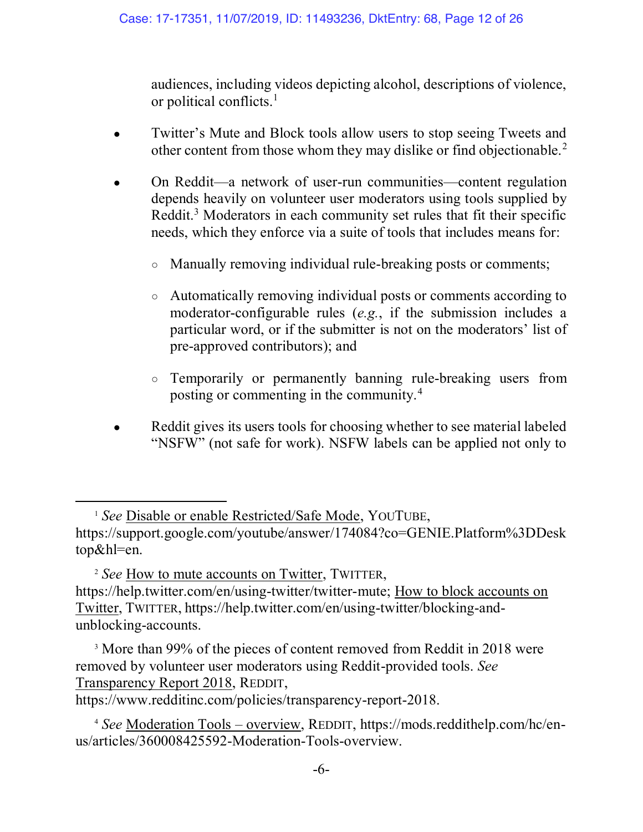audiences, including videos depicting alcohol, descriptions of violence, or political conflicts.1

- Twitter's Mute and Block tools allow users to stop seeing Tweets and other content from those whom they may dislike or find objectionable.2
- On Reddit—a network of user-run communities—content regulation depends heavily on volunteer user moderators using tools supplied by Reddit.<sup>3</sup> Moderators in each community set rules that fit their specific needs, which they enforce via a suite of tools that includes means for:
	- Manually removing individual rule-breaking posts or comments;
	- Automatically removing individual posts or comments according to moderator-configurable rules (*e.g.*, if the submission includes a particular word, or if the submitter is not on the moderators' list of pre-approved contributors); and
	- Temporarily or permanently banning rule-breaking users from posting or commenting in the community.4
- Reddit gives its users tools for choosing whether to see material labeled "NSFW" (not safe for work). NSFW labels can be applied not only to

<sup>2</sup> *See* How to mute accounts on Twitter, TWITTER, https://help.twitter.com/en/using-twitter/twitter-mute; How to block accounts on Twitter, TWITTER, https://help.twitter.com/en/using-twitter/blocking-andunblocking-accounts.

<sup>3</sup> More than 99% of the pieces of content removed from Reddit in 2018 were removed by volunteer user moderators using Reddit-provided tools. *See* Transparency Report 2018, REDDIT,

https://www.redditinc.com/policies/transparency-report-2018.

 $\overline{a}$ 

<sup>4</sup> *See* Moderation Tools – overview, REDDIT, https://mods.reddithelp.com/hc/enus/articles/360008425592-Moderation-Tools-overview.

<sup>1</sup> *See* Disable or enable Restricted/Safe Mode, YOUTUBE, https://support.google.com/youtube/answer/174084?co=GENIE.Platform%3DDesk top&hl=en.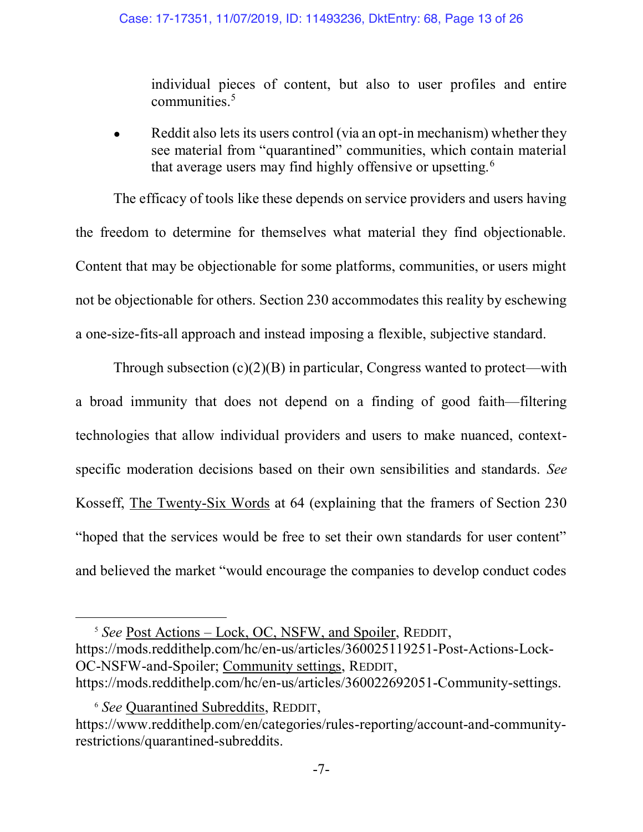individual pieces of content, but also to user profiles and entire communities.<sup>5</sup>

Reddit also lets its users control (via an opt-in mechanism) whether they see material from "quarantined" communities, which contain material that average users may find highly offensive or upsetting.<sup>6</sup>

The efficacy of tools like these depends on service providers and users having the freedom to determine for themselves what material they find objectionable. Content that may be objectionable for some platforms, communities, or users might not be objectionable for others. Section 230 accommodates this reality by eschewing a one-size-fits-all approach and instead imposing a flexible, subjective standard.

Through subsection  $(c)(2)(B)$  in particular, Congress wanted to protect—with a broad immunity that does not depend on a finding of good faith—filtering technologies that allow individual providers and users to make nuanced, contextspecific moderation decisions based on their own sensibilities and standards. *See* Kosseff, The Twenty-Six Words at 64 (explaining that the framers of Section 230 "hoped that the services would be free to set their own standards for user content" and believed the market "would encourage the companies to develop conduct codes

 $\overline{a}$ 

<sup>5</sup> *See* Post Actions – Lock, OC, NSFW, and Spoiler, REDDIT, https://mods.reddithelp.com/hc/en-us/articles/360025119251-Post-Actions-Lock-OC-NSFW-and-Spoiler; Community settings, REDDIT, https://mods.reddithelp.com/hc/en-us/articles/360022692051-Community-settings.

<sup>6</sup> *See* Quarantined Subreddits, REDDIT, https://www.reddithelp.com/en/categories/rules-reporting/account-and-communityrestrictions/quarantined-subreddits.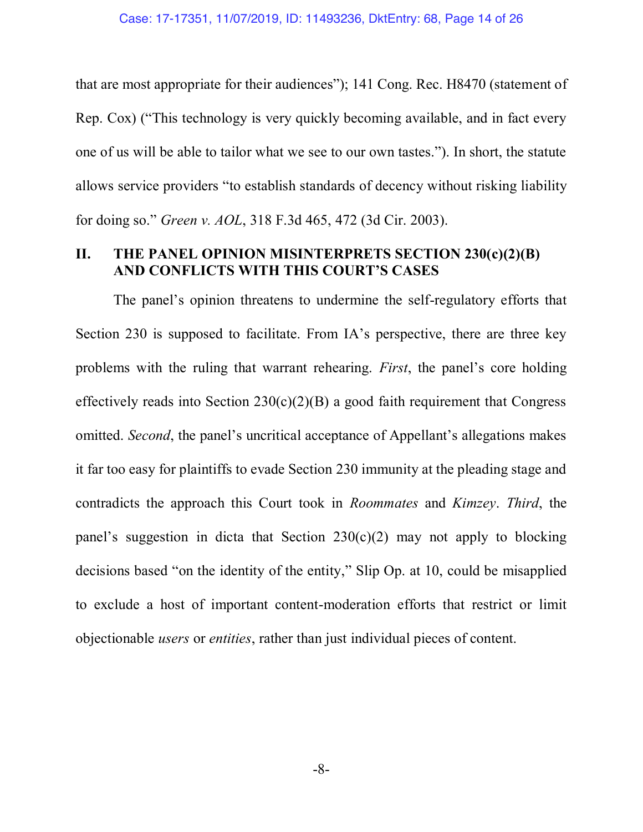that are most appropriate for their audiences"); 141 Cong. Rec. H8470 (statement of Rep. Cox) ("This technology is very quickly becoming available, and in fact every one of us will be able to tailor what we see to our own tastes."). In short, the statute allows service providers "to establish standards of decency without risking liability for doing so." *Green v. AOL*, 318 F.3d 465, 472 (3d Cir. 2003).

### **II. THE PANEL OPINION MISINTERPRETS SECTION 230(c)(2)(B) AND CONFLICTS WITH THIS COURT'S CASES**

The panel's opinion threatens to undermine the self-regulatory efforts that Section 230 is supposed to facilitate. From IA's perspective, there are three key problems with the ruling that warrant rehearing. *First*, the panel's core holding effectively reads into Section  $230(c)(2)(B)$  a good faith requirement that Congress omitted. *Second*, the panel's uncritical acceptance of Appellant's allegations makes it far too easy for plaintiffs to evade Section 230 immunity at the pleading stage and contradicts the approach this Court took in *Roommates* and *Kimzey*. *Third*, the panel's suggestion in dicta that Section  $230(c)(2)$  may not apply to blocking decisions based "on the identity of the entity," Slip Op. at 10, could be misapplied to exclude a host of important content-moderation efforts that restrict or limit objectionable *users* or *entities*, rather than just individual pieces of content.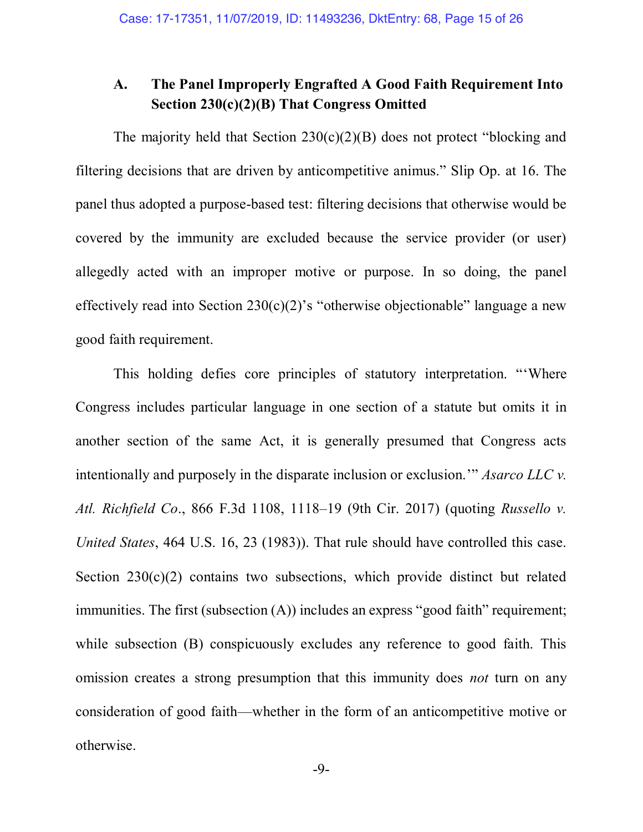## **A. The Panel Improperly Engrafted A Good Faith Requirement Into Section 230(c)(2)(B) That Congress Omitted**

The majority held that Section  $230(c)(2)(B)$  does not protect "blocking and filtering decisions that are driven by anticompetitive animus." Slip Op. at 16. The panel thus adopted a purpose-based test: filtering decisions that otherwise would be covered by the immunity are excluded because the service provider (or user) allegedly acted with an improper motive or purpose. In so doing, the panel effectively read into Section  $230(c)(2)$ 's "otherwise objectionable" language a new good faith requirement.

This holding defies core principles of statutory interpretation. "'Where Congress includes particular language in one section of a statute but omits it in another section of the same Act, it is generally presumed that Congress acts intentionally and purposely in the disparate inclusion or exclusion.'" *Asarco LLC v. Atl. Richfield Co*., 866 F.3d 1108, 1118–19 (9th Cir. 2017) (quoting *Russello v. United States*, 464 U.S. 16, 23 (1983)). That rule should have controlled this case. Section  $230(c)(2)$  contains two subsections, which provide distinct but related immunities. The first (subsection (A)) includes an express "good faith" requirement; while subsection (B) conspicuously excludes any reference to good faith. This omission creates a strong presumption that this immunity does *not* turn on any consideration of good faith—whether in the form of an anticompetitive motive or otherwise.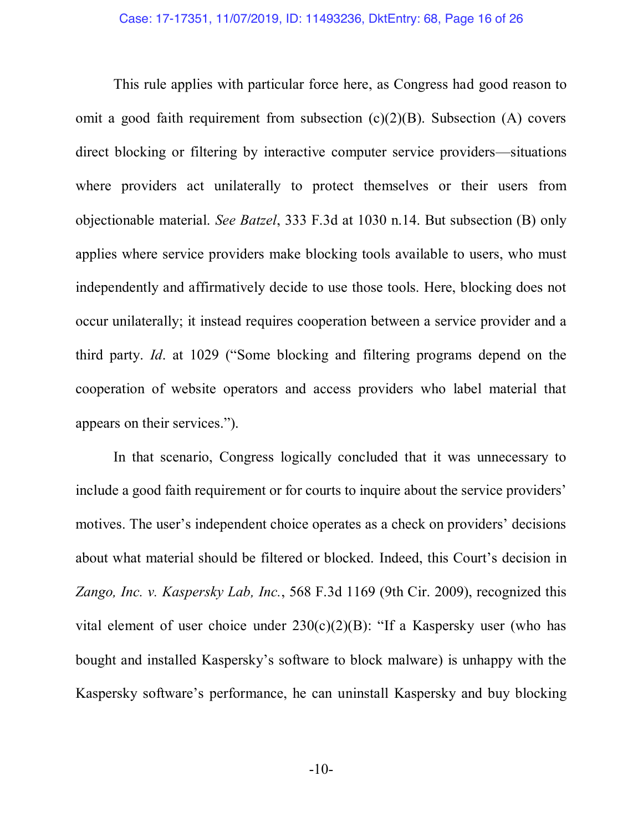This rule applies with particular force here, as Congress had good reason to omit a good faith requirement from subsection  $(c)(2)(B)$ . Subsection (A) covers direct blocking or filtering by interactive computer service providers—situations where providers act unilaterally to protect themselves or their users from objectionable material. *See Batzel*, 333 F.3d at 1030 n.14. But subsection (B) only applies where service providers make blocking tools available to users, who must independently and affirmatively decide to use those tools. Here, blocking does not occur unilaterally; it instead requires cooperation between a service provider and a third party. *Id*. at 1029 ("Some blocking and filtering programs depend on the cooperation of website operators and access providers who label material that appears on their services.").

In that scenario, Congress logically concluded that it was unnecessary to include a good faith requirement or for courts to inquire about the service providers' motives. The user's independent choice operates as a check on providers' decisions about what material should be filtered or blocked. Indeed, this Court's decision in *Zango, Inc. v. Kaspersky Lab, Inc.*, 568 F.3d 1169 (9th Cir. 2009), recognized this vital element of user choice under  $230(c)(2)(B)$ : "If a Kaspersky user (who has bought and installed Kaspersky's software to block malware) is unhappy with the Kaspersky software's performance, he can uninstall Kaspersky and buy blocking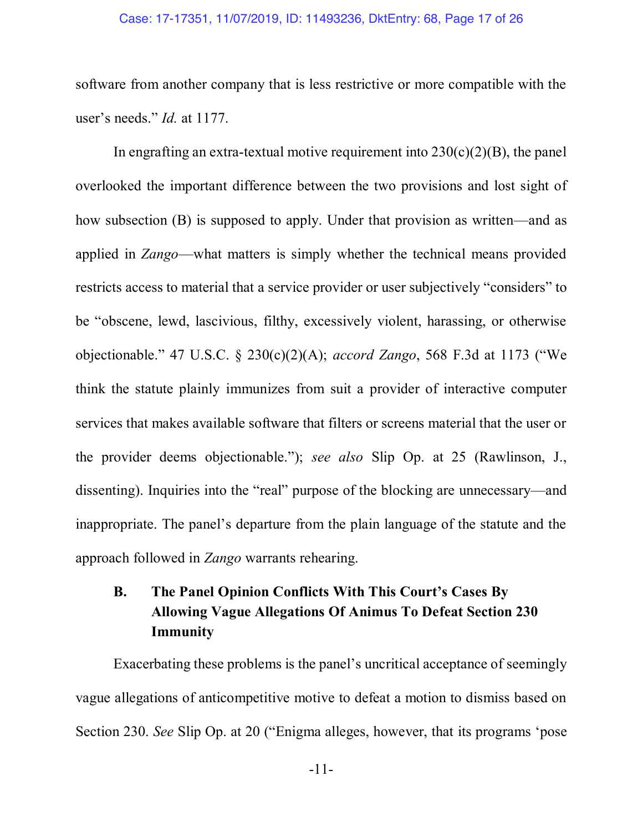#### Case: 17-17351, 11/07/2019, ID: 11493236, DktEntry: 68, Page 17 of 26

software from another company that is less restrictive or more compatible with the user's needs." *Id.* at 1177.

In engrafting an extra-textual motive requirement into  $230(c)(2)(B)$ , the panel overlooked the important difference between the two provisions and lost sight of how subsection (B) is supposed to apply. Under that provision as written—and as applied in *Zango*—what matters is simply whether the technical means provided restricts access to material that a service provider or user subjectively "considers" to be "obscene, lewd, lascivious, filthy, excessively violent, harassing, or otherwise objectionable." 47 U.S.C. § 230(c)(2)(A); *accord Zango*, 568 F.3d at 1173 ("We think the statute plainly immunizes from suit a provider of interactive computer services that makes available software that filters or screens material that the user or the provider deems objectionable."); *see also* Slip Op. at 25 (Rawlinson, J., dissenting). Inquiries into the "real" purpose of the blocking are unnecessary—and inappropriate. The panel's departure from the plain language of the statute and the approach followed in *Zango* warrants rehearing.

## **B. The Panel Opinion Conflicts With This Court's Cases By Allowing Vague Allegations Of Animus To Defeat Section 230 Immunity**

Exacerbating these problems is the panel's uncritical acceptance of seemingly vague allegations of anticompetitive motive to defeat a motion to dismiss based on Section 230. *See* Slip Op. at 20 ("Enigma alleges, however, that its programs 'pose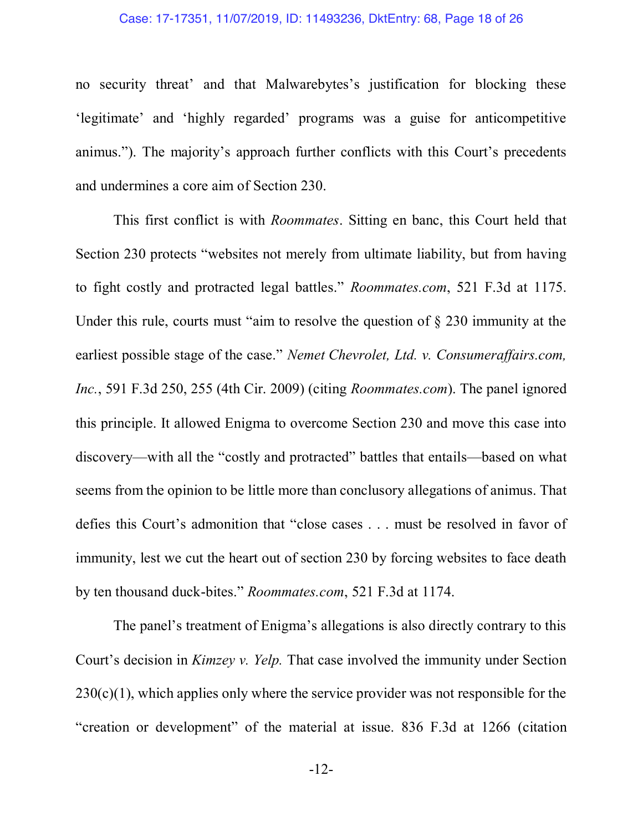#### Case: 17-17351, 11/07/2019, ID: 11493236, DktEntry: 68, Page 18 of 26

no security threat' and that Malwarebytes's justification for blocking these 'legitimate' and 'highly regarded' programs was a guise for anticompetitive animus."). The majority's approach further conflicts with this Court's precedents and undermines a core aim of Section 230.

This first conflict is with *Roommates*. Sitting en banc, this Court held that Section 230 protects "websites not merely from ultimate liability, but from having to fight costly and protracted legal battles." *Roommates.com*, 521 F.3d at 1175. Under this rule, courts must "aim to resolve the question of § 230 immunity at the earliest possible stage of the case." *Nemet Chevrolet, Ltd. v. Consumeraffairs.com, Inc.*, 591 F.3d 250, 255 (4th Cir. 2009) (citing *Roommates.com*). The panel ignored this principle. It allowed Enigma to overcome Section 230 and move this case into discovery—with all the "costly and protracted" battles that entails—based on what seems from the opinion to be little more than conclusory allegations of animus. That defies this Court's admonition that "close cases . . . must be resolved in favor of immunity, lest we cut the heart out of section 230 by forcing websites to face death by ten thousand duck-bites." *Roommates.com*, 521 F.3d at 1174.

The panel's treatment of Enigma's allegations is also directly contrary to this Court's decision in *Kimzey v. Yelp.* That case involved the immunity under Section  $230(c)(1)$ , which applies only where the service provider was not responsible for the "creation or development" of the material at issue. 836 F.3d at 1266 (citation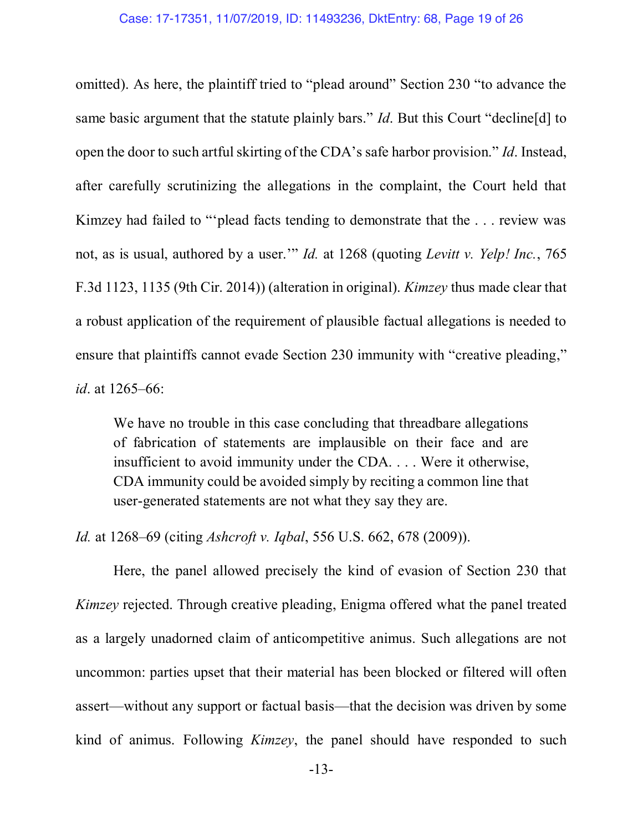omitted). As here, the plaintiff tried to "plead around" Section 230 "to advance the same basic argument that the statute plainly bars." *Id*. But this Court "decline[d] to open the door to such artful skirting of the CDA's safe harbor provision." *Id*. Instead, after carefully scrutinizing the allegations in the complaint, the Court held that Kimzey had failed to "'plead facts tending to demonstrate that the . . . review was not, as is usual, authored by a user.'" *Id.* at 1268 (quoting *Levitt v. Yelp! Inc.*, 765 F.3d 1123, 1135 (9th Cir. 2014)) (alteration in original). *Kimzey* thus made clear that a robust application of the requirement of plausible factual allegations is needed to ensure that plaintiffs cannot evade Section 230 immunity with "creative pleading," *id*. at 1265–66:

We have no trouble in this case concluding that threadbare allegations of fabrication of statements are implausible on their face and are insufficient to avoid immunity under the CDA. . . . Were it otherwise, CDA immunity could be avoided simply by reciting a common line that user-generated statements are not what they say they are.

*Id.* at 1268–69 (citing *Ashcroft v. Iqbal*, 556 U.S. 662, 678 (2009)).

Here, the panel allowed precisely the kind of evasion of Section 230 that *Kimzey* rejected. Through creative pleading, Enigma offered what the panel treated as a largely unadorned claim of anticompetitive animus. Such allegations are not uncommon: parties upset that their material has been blocked or filtered will often assert—without any support or factual basis—that the decision was driven by some kind of animus. Following *Kimzey*, the panel should have responded to such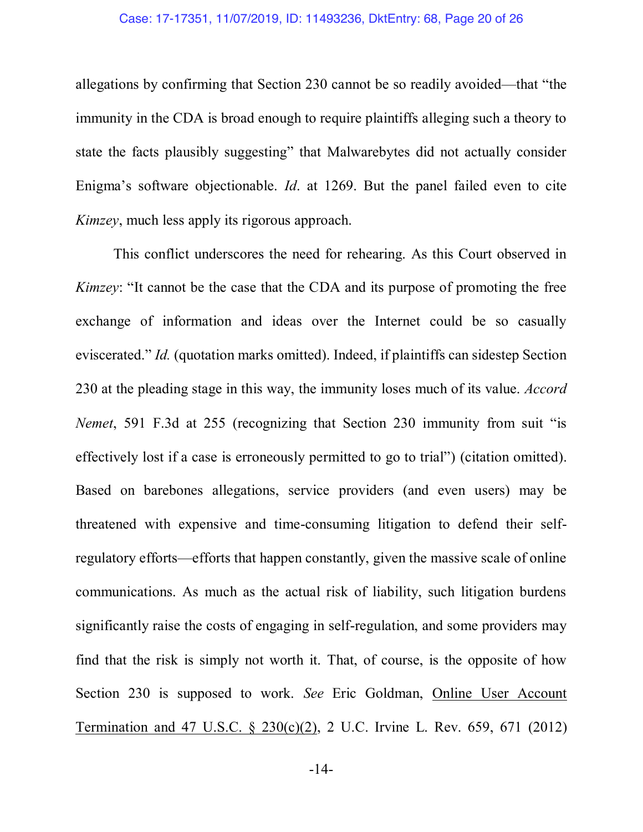#### Case: 17-17351, 11/07/2019, ID: 11493236, DktEntry: 68, Page 20 of 26

allegations by confirming that Section 230 cannot be so readily avoided—that "the immunity in the CDA is broad enough to require plaintiffs alleging such a theory to state the facts plausibly suggesting" that Malwarebytes did not actually consider Enigma's software objectionable. *Id*. at 1269. But the panel failed even to cite *Kimzey*, much less apply its rigorous approach.

This conflict underscores the need for rehearing. As this Court observed in *Kimzey*: "It cannot be the case that the CDA and its purpose of promoting the free exchange of information and ideas over the Internet could be so casually eviscerated." *Id.* (quotation marks omitted). Indeed, if plaintiffs can sidestep Section 230 at the pleading stage in this way, the immunity loses much of its value. *Accord Nemet*, 591 F.3d at 255 (recognizing that Section 230 immunity from suit "is effectively lost if a case is erroneously permitted to go to trial") (citation omitted). Based on barebones allegations, service providers (and even users) may be threatened with expensive and time-consuming litigation to defend their selfregulatory efforts—efforts that happen constantly, given the massive scale of online communications. As much as the actual risk of liability, such litigation burdens significantly raise the costs of engaging in self-regulation, and some providers may find that the risk is simply not worth it. That, of course, is the opposite of how Section 230 is supposed to work. *See* Eric Goldman, Online User Account Termination and 47 U.S.C. § 230(c)(2), 2 U.C. Irvine L. Rev. 659, 671 (2012)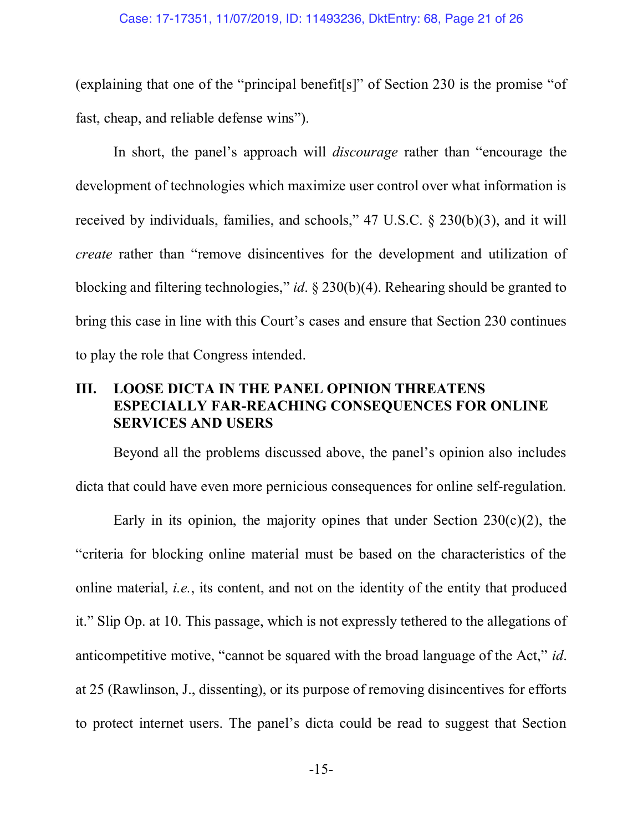(explaining that one of the "principal benefit[s]" of Section 230 is the promise "of fast, cheap, and reliable defense wins").

In short, the panel's approach will *discourage* rather than "encourage the development of technologies which maximize user control over what information is received by individuals, families, and schools," 47 U.S.C. § 230(b)(3), and it will *create* rather than "remove disincentives for the development and utilization of blocking and filtering technologies," *id*. § 230(b)(4). Rehearing should be granted to bring this case in line with this Court's cases and ensure that Section 230 continues to play the role that Congress intended.

### **III. LOOSE DICTA IN THE PANEL OPINION THREATENS ESPECIALLY FAR-REACHING CONSEQUENCES FOR ONLINE SERVICES AND USERS**

Beyond all the problems discussed above, the panel's opinion also includes dicta that could have even more pernicious consequences for online self-regulation.

Early in its opinion, the majority opines that under Section  $230(c)(2)$ , the "criteria for blocking online material must be based on the characteristics of the online material, *i.e.*, its content, and not on the identity of the entity that produced it." Slip Op. at 10. This passage, which is not expressly tethered to the allegations of anticompetitive motive, "cannot be squared with the broad language of the Act," *id*. at 25 (Rawlinson, J., dissenting), or its purpose of removing disincentives for efforts to protect internet users. The panel's dicta could be read to suggest that Section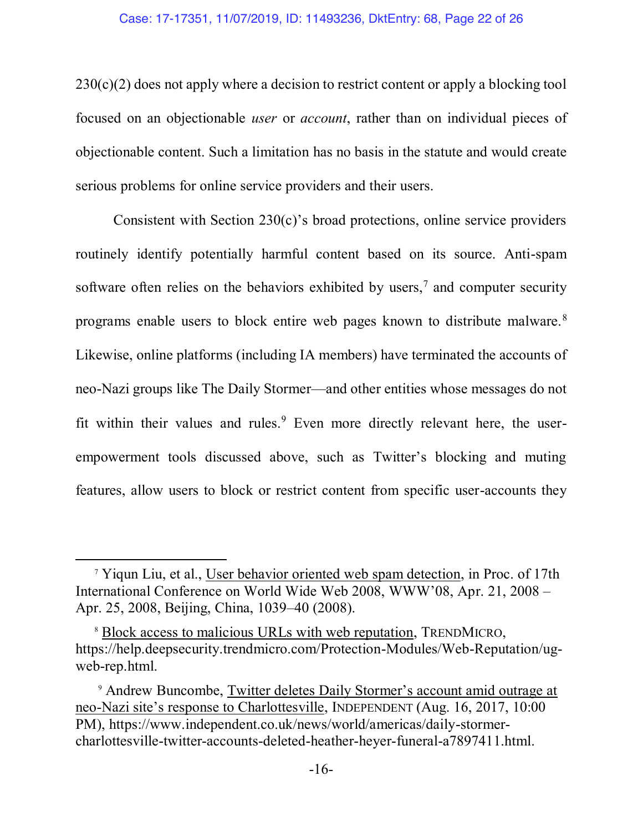#### Case: 17-17351, 11/07/2019, ID: 11493236, DktEntry: 68, Page 22 of 26

 $230(c)(2)$  does not apply where a decision to restrict content or apply a blocking tool focused on an objectionable *user* or *account*, rather than on individual pieces of objectionable content. Such a limitation has no basis in the statute and would create serious problems for online service providers and their users.

Consistent with Section 230(c)'s broad protections, online service providers routinely identify potentially harmful content based on its source. Anti-spam software often relies on the behaviors exhibited by users,<sup>7</sup> and computer security programs enable users to block entire web pages known to distribute malware.8 Likewise, online platforms (including IA members) have terminated the accounts of neo-Nazi groups like The Daily Stormer—and other entities whose messages do not fit within their values and rules. $9$  Even more directly relevant here, the userempowerment tools discussed above, such as Twitter's blocking and muting features, allow users to block or restrict content from specific user-accounts they

 $\overline{\phantom{a}}$ 

<sup>7</sup> Yiqun Liu, et al., User behavior oriented web spam detection, in Proc. of 17th International Conference on World Wide Web 2008, WWW'08, Apr. 21, 2008 – Apr. 25, 2008, Beijing, China, 1039–40 (2008).

<sup>8</sup> Block access to malicious URLs with web reputation, TRENDMICRO, https://help.deepsecurity.trendmicro.com/Protection-Modules/Web-Reputation/ugweb-rep.html.

<sup>9</sup> Andrew Buncombe, Twitter deletes Daily Stormer's account amid outrage at neo-Nazi site's response to Charlottesville, INDEPENDENT (Aug. 16, 2017, 10:00 PM), https://www.independent.co.uk/news/world/americas/daily-stormercharlottesville-twitter-accounts-deleted-heather-heyer-funeral-a7897411.html.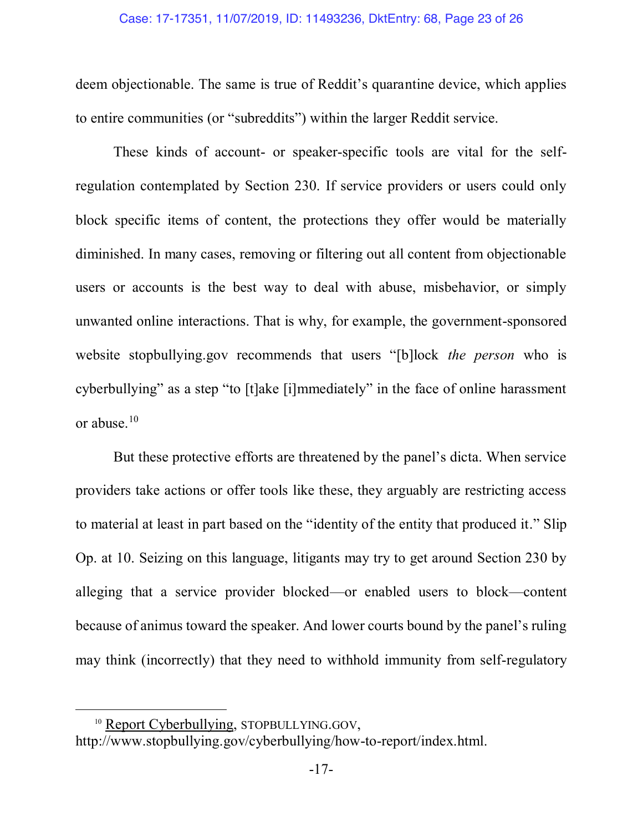deem objectionable. The same is true of Reddit's quarantine device, which applies to entire communities (or "subreddits") within the larger Reddit service.

These kinds of account- or speaker-specific tools are vital for the selfregulation contemplated by Section 230. If service providers or users could only block specific items of content, the protections they offer would be materially diminished. In many cases, removing or filtering out all content from objectionable users or accounts is the best way to deal with abuse, misbehavior, or simply unwanted online interactions. That is why, for example, the government-sponsored website stopbullying.gov recommends that users "[b]lock *the person* who is cyberbullying" as a step "to [t]ake [i]mmediately" in the face of online harassment or abuse.10

But these protective efforts are threatened by the panel's dicta. When service providers take actions or offer tools like these, they arguably are restricting access to material at least in part based on the "identity of the entity that produced it." Slip Op. at 10. Seizing on this language, litigants may try to get around Section 230 by alleging that a service provider blocked—or enabled users to block—content because of animus toward the speaker. And lower courts bound by the panel's ruling may think (incorrectly) that they need to withhold immunity from self-regulatory

 $\overline{\phantom{a}}$ 

<sup>&</sup>lt;sup>10</sup> Report Cyberbullying, STOPBULLYING.GOV,

http://www.stopbullying.gov/cyberbullying/how-to-report/index.html.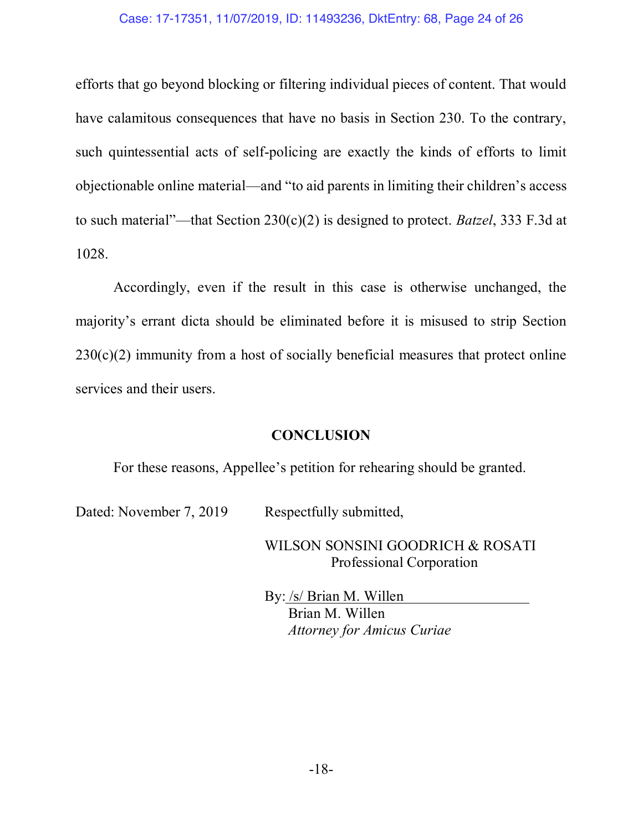#### Case: 17-17351, 11/07/2019, ID: 11493236, DktEntry: 68, Page 24 of 26

efforts that go beyond blocking or filtering individual pieces of content. That would have calamitous consequences that have no basis in Section 230. To the contrary, such quintessential acts of self-policing are exactly the kinds of efforts to limit objectionable online material—and "to aid parents in limiting their children's access to such material"—that Section 230(c)(2) is designed to protect. *Batzel*, 333 F.3d at 1028.

Accordingly, even if the result in this case is otherwise unchanged, the majority's errant dicta should be eliminated before it is misused to strip Section  $230(c)(2)$  immunity from a host of socially beneficial measures that protect online services and their users.

#### **CONCLUSION**

For these reasons, Appellee's petition for rehearing should be granted.

Dated: November 7, 2019 Respectfully submitted,

WILSON SONSINI GOODRICH & ROSATI Professional Corporation

By: /s/ Brian M. Willen Brian M. Willen *Attorney for Amicus Curiae*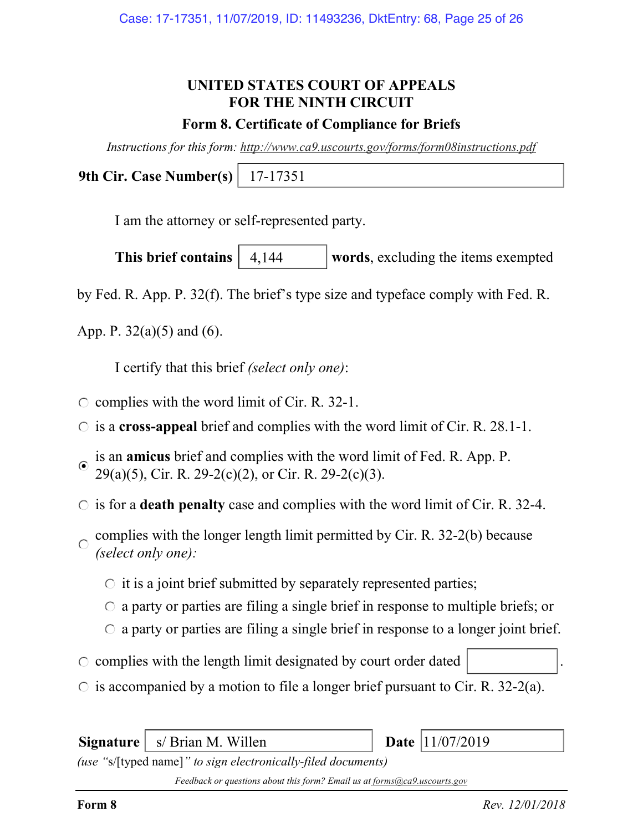## UNITED STATES COURT OF APPEALS FOR THE NINTH CIRCUIT

#### Form 8. Certificate of Compliance for Briefs

Instructions for this form: http://www.ca9.uscourts.gov/forms/form08instructions.pdf

9th Cir. Case Number(s) 17-17351

I am the attorney or self-represented party.

This brief contains  $\begin{vmatrix} 4.144 \\ -1.144 \end{vmatrix}$  words, excluding the items exempted 4,144

by Fed. R. App. P. 32(f). The brief's type size and typeface comply with Fed. R.

App. P.  $32(a)(5)$  and  $(6)$ .

I certify that this brief (select only one):

- $\circ$  complies with the word limit of Cir. R. 32-1.
- $\circ$  is a cross-appeal brief and complies with the word limit of Cir. R. 28.1-1.
- is an amicus brief and complies with the word limit of Fed. R. App. P.  $\odot$  $29(a)(5)$ , Cir. R. 29-2(c)(2), or Cir. R. 29-2(c)(3).
- $\circ$  is for a **death penalty** case and complies with the word limit of Cir. R. 32-4.
- complies with the longer length limit permitted by Cir. R. 32-2(b) because  $\bigcap$ (select only one):
	- $\circ$  it is a joint brief submitted by separately represented parties;
	- $\circ$  a party or parties are filing a single brief in response to multiple briefs; or
	- $\circ$  a party or parties are filing a single brief in response to a longer joint brief.
- $\circ$  complies with the length limit designated by court order dated
- $\circ$  is accompanied by a motion to file a longer brief pursuant to Cir. R. 32-2(a).

Signature  $\vert$  s/ Brian M. Willen  $\vert$  Date  $\vert$  11/07/2019

(use "s/[typed name]" to sign electronically-filed documents)

Feedback or questions about this form? Email us at forms@ca9.uscourts.gov